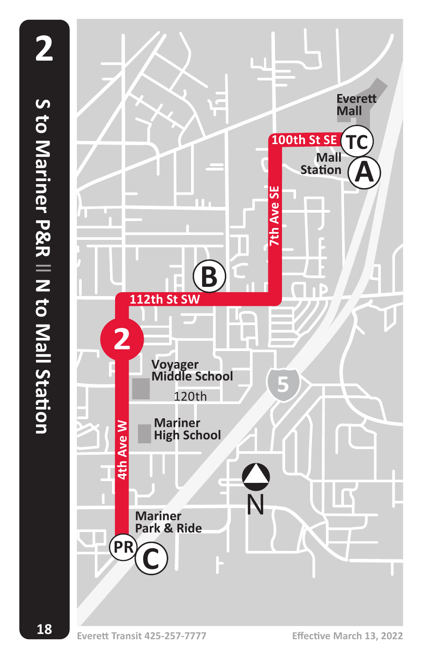**18**

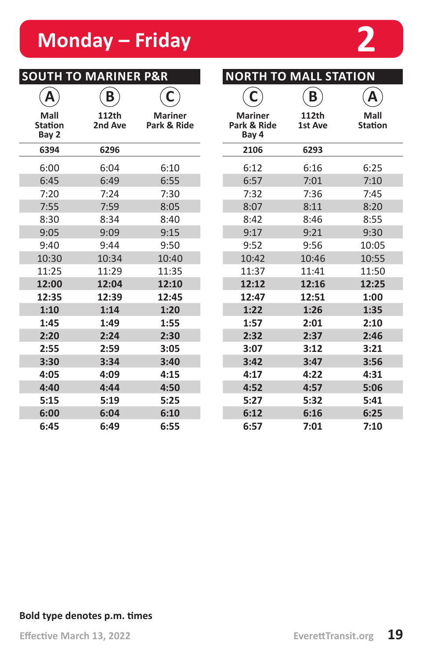## **Monday – Friday**

| <b>SOUTH TO MARINER P&amp;R</b> |                  |                               |                                        | <b>NORTH TO MALL STATION</b> |                        |  |
|---------------------------------|------------------|-------------------------------|----------------------------------------|------------------------------|------------------------|--|
| A                               | B                | С                             |                                        | B                            | A                      |  |
| Mall<br><b>Station</b><br>Bay 2 | 112th<br>2nd Ave | <b>Mariner</b><br>Park & Ride | <b>Mariner</b><br>Park & Ride<br>Bay 4 | 112th<br>1st Ave             | Mall<br><b>Station</b> |  |
| 6394                            | 6296             |                               | 2106                                   | 6293                         |                        |  |
| 6:00                            | 6:04             | 6:10                          | 6:12                                   | 6:16                         | 6:25                   |  |
| 6:45                            | 6:49             | 6:55                          | 6:57                                   | 7:01                         | 7:10                   |  |
| 7:20                            | 7:24             | 7:30                          | 7:32                                   | 7:36                         | 7:45                   |  |
| 7:55                            | 7:59             | 8:05                          | 8:07                                   | 8:11                         | 8:20                   |  |
| 8:30                            | 8:34             | 8:40                          | 8:42                                   | 8:46                         | 8:55                   |  |
| 9:05                            | 9:09             | 9:15                          | 9:17                                   | 9:21                         | 9:30                   |  |
| 9:40                            | 9:44             | 9:50                          | 9:52                                   | 9:56                         | 10:05                  |  |
| 10:30                           | 10:34            | 10:40                         | 10:42                                  | 10:46                        | 10:55                  |  |
| 11:25                           | 11:29            | 11:35                         | 11:37                                  | 11:41                        | 11:50                  |  |
| 12:00                           | 12:04            | 12:10                         | 12:12                                  | 12:16                        | 12:25                  |  |
| 12:35                           | 12:39            | 12:45                         | 12:47                                  | 12:51                        | 1:00                   |  |
| 1:10                            | 1:14             | 1:20                          | 1:22                                   | 1:26                         | 1:35                   |  |
| 1:45                            | 1:49             | 1:55                          | 1:57                                   | 2:01                         | 2:10                   |  |
| 2:20                            | 2:24             | 2:30                          | 2:32                                   | 2:37                         | 2:46                   |  |
| 2:55                            | 2:59             | 3:05                          | 3:07                                   | 3:12                         | 3:21                   |  |
| 3:30                            | 3:34             | 3:40                          | 3:42                                   | 3:47                         | 3:56                   |  |
| 4:05                            | 4:09             | 4:15                          | 4:17                                   | 4:22                         | 4:31                   |  |
| 4:40                            | 4:44             | 4:50                          | 4:52                                   | 4:57                         | 5:06                   |  |
| 5:15                            | 5:19             | 5:25                          | 5:27                                   | 5:32                         | 5:41                   |  |
| 6:00                            | 6:04             | 6:10                          | 6:12                                   | 6:16                         | 6:25                   |  |
| 6:45                            | 6:49             | 6:55                          | 6:57                                   | 7:01                         | 7:10                   |  |

### **Bold type denotes p.m. times**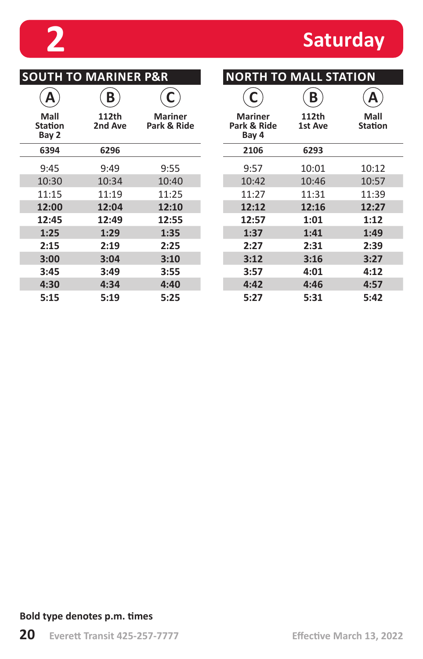## **Saturday**

| <b>SOUTH TO MARINER P&amp;R</b> |                  |                               | <b>NORTH TO MALL STATION</b>           |                  |                        |
|---------------------------------|------------------|-------------------------------|----------------------------------------|------------------|------------------------|
| А                               | B                |                               |                                        | B                | А                      |
| Mall<br><b>Station</b><br>Bay 2 | 112th<br>2nd Ave | <b>Mariner</b><br>Park & Ride | <b>Mariner</b><br>Park & Ride<br>Bay 4 | 112th<br>1st Ave | Mall<br><b>Station</b> |
| 6394                            | 6296             |                               | 2106                                   | 6293             |                        |
| 9:45                            | 9:49             | 9:55                          | 9:57                                   | 10:01            | 10:12                  |
| 10:30                           | 10:34            | 10:40                         | 10:42                                  | 10:46            | 10:57                  |
| 11:15                           | 11:19            | 11:25                         | 11:27                                  | 11:31            | 11:39                  |
| 12:00                           | 12:04            | 12:10                         | 12:12                                  | 12:16            | 12:27                  |
| 12:45                           | 12:49            | 12:55                         | 12:57                                  | 1:01             | 1:12                   |
| 1:25                            | 1:29             | 1:35                          | 1:37                                   | 1:41             | 1:49                   |
| 2:15                            | 2:19             | 2:25                          | 2:27                                   | 2:31             | 2:39                   |
| 3:00                            | 3:04             | 3:10                          | 3:12                                   | 3:16             | 3:27                   |
| 3:45                            | 3:49             | 3:55                          | 3:57                                   | 4:01             | 4:12                   |
| 4:30                            | 4:34             | 4:40                          | 4:42                                   | 4:46             | 4:57                   |
| 5:15                            | 5:19             | 5:25                          | 5:27                                   | 5:31             | 5:42                   |

#### **Bold type denotes p.m. times**